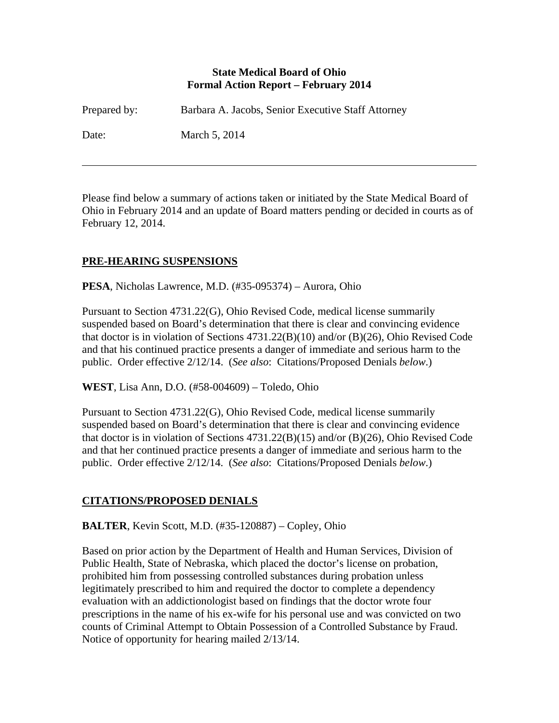#### **State Medical Board of Ohio Formal Action Report – February 2014**

| Prepared by: | Barbara A. Jacobs, Senior Executive Staff Attorney |
|--------------|----------------------------------------------------|
| Date:        | March 5, 2014                                      |

Please find below a summary of actions taken or initiated by the State Medical Board of Ohio in February 2014 and an update of Board matters pending or decided in courts as of February 12, 2014.

## **PRE-HEARING SUSPENSIONS**

 $\overline{a}$ 

**PESA**, Nicholas Lawrence, M.D. (#35-095374) – Aurora, Ohio

Pursuant to Section 4731.22(G), Ohio Revised Code, medical license summarily suspended based on Board's determination that there is clear and convincing evidence that doctor is in violation of Sections 4731.22(B)(10) and/or (B)(26), Ohio Revised Code and that his continued practice presents a danger of immediate and serious harm to the public. Order effective 2/12/14. (*See also*: Citations/Proposed Denials *below*.)

**WEST**, Lisa Ann, D.O. (#58-004609) – Toledo, Ohio

Pursuant to Section 4731.22(G), Ohio Revised Code, medical license summarily suspended based on Board's determination that there is clear and convincing evidence that doctor is in violation of Sections 4731.22(B)(15) and/or (B)(26), Ohio Revised Code and that her continued practice presents a danger of immediate and serious harm to the public. Order effective 2/12/14. (*See also*: Citations/Proposed Denials *below*.)

### **CITATIONS/PROPOSED DENIALS**

**BALTER**, Kevin Scott, M.D. (#35-120887) – Copley, Ohio

Based on prior action by the Department of Health and Human Services, Division of Public Health, State of Nebraska, which placed the doctor's license on probation, prohibited him from possessing controlled substances during probation unless legitimately prescribed to him and required the doctor to complete a dependency evaluation with an addictionologist based on findings that the doctor wrote four prescriptions in the name of his ex-wife for his personal use and was convicted on two counts of Criminal Attempt to Obtain Possession of a Controlled Substance by Fraud. Notice of opportunity for hearing mailed 2/13/14.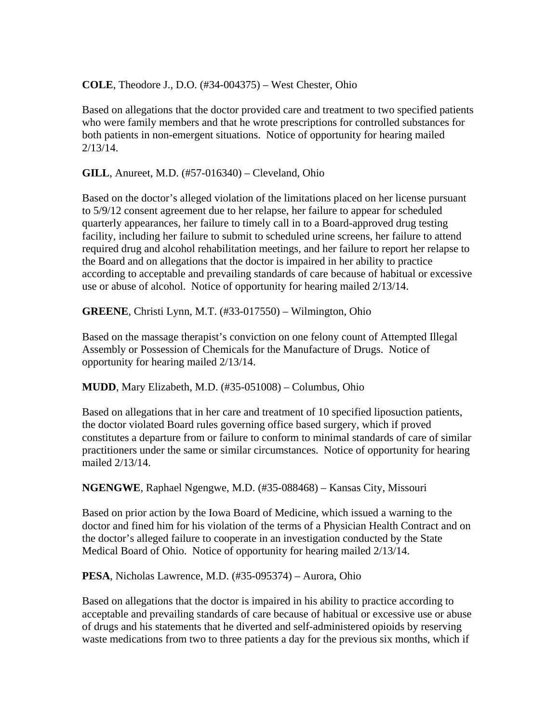**COLE**, Theodore J., D.O. (#34-004375) – West Chester, Ohio

Based on allegations that the doctor provided care and treatment to two specified patients who were family members and that he wrote prescriptions for controlled substances for both patients in non-emergent situations. Notice of opportunity for hearing mailed 2/13/14.

**GILL**, Anureet, M.D. (#57-016340) – Cleveland, Ohio

Based on the doctor's alleged violation of the limitations placed on her license pursuant to 5/9/12 consent agreement due to her relapse, her failure to appear for scheduled quarterly appearances, her failure to timely call in to a Board-approved drug testing facility, including her failure to submit to scheduled urine screens, her failure to attend required drug and alcohol rehabilitation meetings, and her failure to report her relapse to the Board and on allegations that the doctor is impaired in her ability to practice according to acceptable and prevailing standards of care because of habitual or excessive use or abuse of alcohol. Notice of opportunity for hearing mailed 2/13/14.

**GREENE**, Christi Lynn, M.T. (#33-017550) – Wilmington, Ohio

Based on the massage therapist's conviction on one felony count of Attempted Illegal Assembly or Possession of Chemicals for the Manufacture of Drugs. Notice of opportunity for hearing mailed 2/13/14.

**MUDD**, Mary Elizabeth, M.D. (#35-051008) – Columbus, Ohio

Based on allegations that in her care and treatment of 10 specified liposuction patients, the doctor violated Board rules governing office based surgery, which if proved constitutes a departure from or failure to conform to minimal standards of care of similar practitioners under the same or similar circumstances. Notice of opportunity for hearing mailed 2/13/14.

**NGENGWE**, Raphael Ngengwe, M.D. (#35-088468) – Kansas City, Missouri

Based on prior action by the Iowa Board of Medicine, which issued a warning to the doctor and fined him for his violation of the terms of a Physician Health Contract and on the doctor's alleged failure to cooperate in an investigation conducted by the State Medical Board of Ohio. Notice of opportunity for hearing mailed 2/13/14.

**PESA**, Nicholas Lawrence, M.D. (#35-095374) – Aurora, Ohio

Based on allegations that the doctor is impaired in his ability to practice according to acceptable and prevailing standards of care because of habitual or excessive use or abuse of drugs and his statements that he diverted and self-administered opioids by reserving waste medications from two to three patients a day for the previous six months, which if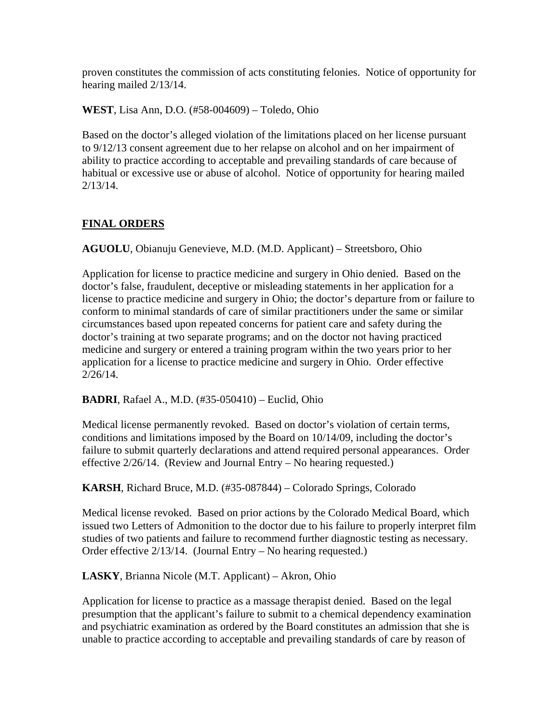proven constitutes the commission of acts constituting felonies. Notice of opportunity for hearing mailed 2/13/14.

**WEST**, Lisa Ann, D.O. (#58-004609) – Toledo, Ohio

Based on the doctor's alleged violation of the limitations placed on her license pursuant to 9/12/13 consent agreement due to her relapse on alcohol and on her impairment of ability to practice according to acceptable and prevailing standards of care because of habitual or excessive use or abuse of alcohol. Notice of opportunity for hearing mailed 2/13/14.

### **FINAL ORDERS**

**AGUOLU**, Obianuju Genevieve, M.D. (M.D. Applicant) – Streetsboro, Ohio

Application for license to practice medicine and surgery in Ohio denied. Based on the doctor's false, fraudulent, deceptive or misleading statements in her application for a license to practice medicine and surgery in Ohio; the doctor's departure from or failure to conform to minimal standards of care of similar practitioners under the same or similar circumstances based upon repeated concerns for patient care and safety during the doctor's training at two separate programs; and on the doctor not having practiced medicine and surgery or entered a training program within the two years prior to her application for a license to practice medicine and surgery in Ohio. Order effective 2/26/14.

**BADRI**, Rafael A., M.D. (#35-050410) – Euclid, Ohio

Medical license permanently revoked. Based on doctor's violation of certain terms, conditions and limitations imposed by the Board on 10/14/09, including the doctor's failure to submit quarterly declarations and attend required personal appearances. Order effective 2/26/14. (Review and Journal Entry – No hearing requested.)

**KARSH**, Richard Bruce, M.D. (#35-087844) – Colorado Springs, Colorado

Medical license revoked. Based on prior actions by the Colorado Medical Board, which issued two Letters of Admonition to the doctor due to his failure to properly interpret film studies of two patients and failure to recommend further diagnostic testing as necessary. Order effective 2/13/14. (Journal Entry – No hearing requested.)

**LASKY**, Brianna Nicole (M.T. Applicant) – Akron, Ohio

Application for license to practice as a massage therapist denied. Based on the legal presumption that the applicant's failure to submit to a chemical dependency examination and psychiatric examination as ordered by the Board constitutes an admission that she is unable to practice according to acceptable and prevailing standards of care by reason of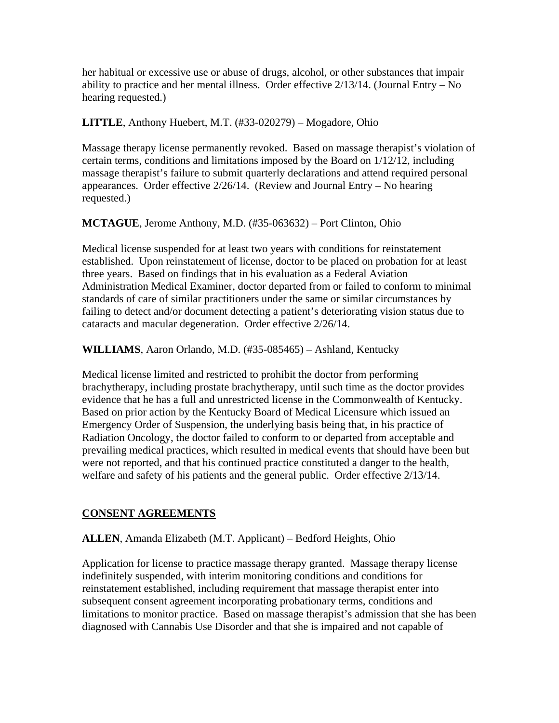her habitual or excessive use or abuse of drugs, alcohol, or other substances that impair ability to practice and her mental illness. Order effective  $2/13/14$ . (Journal Entry – No hearing requested.)

### **LITTLE**, Anthony Huebert, M.T. (#33-020279) – Mogadore, Ohio

Massage therapy license permanently revoked. Based on massage therapist's violation of certain terms, conditions and limitations imposed by the Board on 1/12/12, including massage therapist's failure to submit quarterly declarations and attend required personal appearances. Order effective 2/26/14. (Review and Journal Entry – No hearing requested.)

## **MCTAGUE**, Jerome Anthony, M.D. (#35-063632) – Port Clinton, Ohio

Medical license suspended for at least two years with conditions for reinstatement established. Upon reinstatement of license, doctor to be placed on probation for at least three years. Based on findings that in his evaluation as a Federal Aviation Administration Medical Examiner, doctor departed from or failed to conform to minimal standards of care of similar practitioners under the same or similar circumstances by failing to detect and/or document detecting a patient's deteriorating vision status due to cataracts and macular degeneration. Order effective 2/26/14.

**WILLIAMS**, Aaron Orlando, M.D. (#35-085465) – Ashland, Kentucky

Medical license limited and restricted to prohibit the doctor from performing brachytherapy, including prostate brachytherapy, until such time as the doctor provides evidence that he has a full and unrestricted license in the Commonwealth of Kentucky. Based on prior action by the Kentucky Board of Medical Licensure which issued an Emergency Order of Suspension, the underlying basis being that, in his practice of Radiation Oncology, the doctor failed to conform to or departed from acceptable and prevailing medical practices, which resulted in medical events that should have been but were not reported, and that his continued practice constituted a danger to the health, welfare and safety of his patients and the general public. Order effective 2/13/14.

# **CONSENT AGREEMENTS**

**ALLEN**, Amanda Elizabeth (M.T. Applicant) – Bedford Heights, Ohio

Application for license to practice massage therapy granted. Massage therapy license indefinitely suspended, with interim monitoring conditions and conditions for reinstatement established, including requirement that massage therapist enter into subsequent consent agreement incorporating probationary terms, conditions and limitations to monitor practice. Based on massage therapist's admission that she has been diagnosed with Cannabis Use Disorder and that she is impaired and not capable of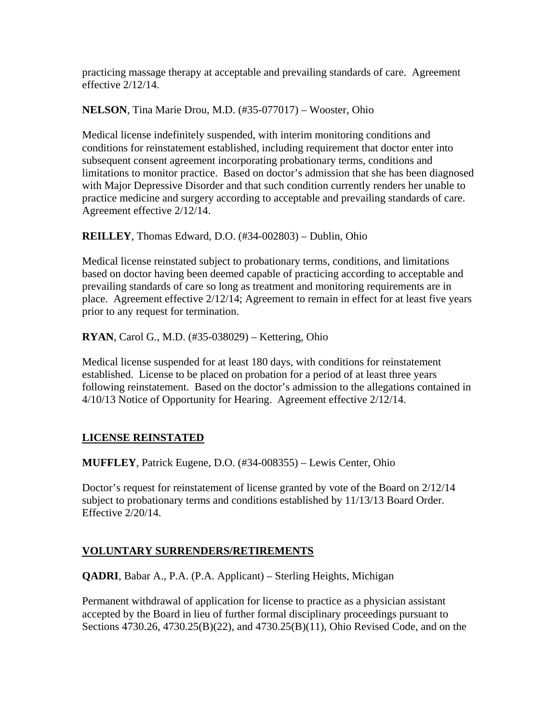practicing massage therapy at acceptable and prevailing standards of care. Agreement effective 2/12/14.

**NELSON**, Tina Marie Drou, M.D. (#35-077017) – Wooster, Ohio

Medical license indefinitely suspended, with interim monitoring conditions and conditions for reinstatement established, including requirement that doctor enter into subsequent consent agreement incorporating probationary terms, conditions and limitations to monitor practice. Based on doctor's admission that she has been diagnosed with Major Depressive Disorder and that such condition currently renders her unable to practice medicine and surgery according to acceptable and prevailing standards of care. Agreement effective 2/12/14.

**REILLEY**, Thomas Edward, D.O. (#34-002803) – Dublin, Ohio

Medical license reinstated subject to probationary terms, conditions, and limitations based on doctor having been deemed capable of practicing according to acceptable and prevailing standards of care so long as treatment and monitoring requirements are in place. Agreement effective 2/12/14; Agreement to remain in effect for at least five years prior to any request for termination.

**RYAN**, Carol G., M.D. (#35-038029) – Kettering, Ohio

Medical license suspended for at least 180 days, with conditions for reinstatement established. License to be placed on probation for a period of at least three years following reinstatement. Based on the doctor's admission to the allegations contained in 4/10/13 Notice of Opportunity for Hearing. Agreement effective 2/12/14.

### **LICENSE REINSTATED**

**MUFFLEY**, Patrick Eugene, D.O. (#34-008355) – Lewis Center, Ohio

Doctor's request for reinstatement of license granted by vote of the Board on 2/12/14 subject to probationary terms and conditions established by 11/13/13 Board Order. Effective 2/20/14.

### **VOLUNTARY SURRENDERS/RETIREMENTS**

**QADRI**, Babar A., P.A. (P.A. Applicant) – Sterling Heights, Michigan

Permanent withdrawal of application for license to practice as a physician assistant accepted by the Board in lieu of further formal disciplinary proceedings pursuant to Sections 4730.26, 4730.25(B)(22), and 4730.25(B)(11), Ohio Revised Code, and on the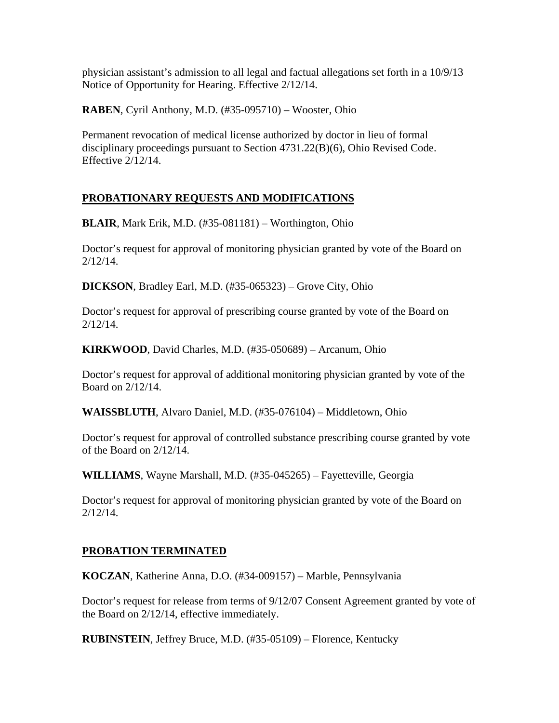physician assistant's admission to all legal and factual allegations set forth in a 10/9/13 Notice of Opportunity for Hearing. Effective 2/12/14.

**RABEN**, Cyril Anthony, M.D. (#35-095710) – Wooster, Ohio

Permanent revocation of medical license authorized by doctor in lieu of formal disciplinary proceedings pursuant to Section 4731.22(B)(6), Ohio Revised Code. Effective 2/12/14.

## **PROBATIONARY REQUESTS AND MODIFICATIONS**

**BLAIR**, Mark Erik, M.D. (#35-081181) – Worthington, Ohio

Doctor's request for approval of monitoring physician granted by vote of the Board on 2/12/14.

**DICKSON**, Bradley Earl, M.D. (#35-065323) – Grove City, Ohio

Doctor's request for approval of prescribing course granted by vote of the Board on 2/12/14.

**KIRKWOOD**, David Charles, M.D. (#35-050689) – Arcanum, Ohio

Doctor's request for approval of additional monitoring physician granted by vote of the Board on 2/12/14.

**WAISSBLUTH**, Alvaro Daniel, M.D. (#35-076104) – Middletown, Ohio

Doctor's request for approval of controlled substance prescribing course granted by vote of the Board on 2/12/14.

**WILLIAMS**, Wayne Marshall, M.D. (#35-045265) – Fayetteville, Georgia

Doctor's request for approval of monitoring physician granted by vote of the Board on 2/12/14.

### **PROBATION TERMINATED**

**KOCZAN**, Katherine Anna, D.O. (#34-009157) – Marble, Pennsylvania

Doctor's request for release from terms of 9/12/07 Consent Agreement granted by vote of the Board on 2/12/14, effective immediately.

**RUBINSTEIN**, Jeffrey Bruce, M.D. (#35-05109) – Florence, Kentucky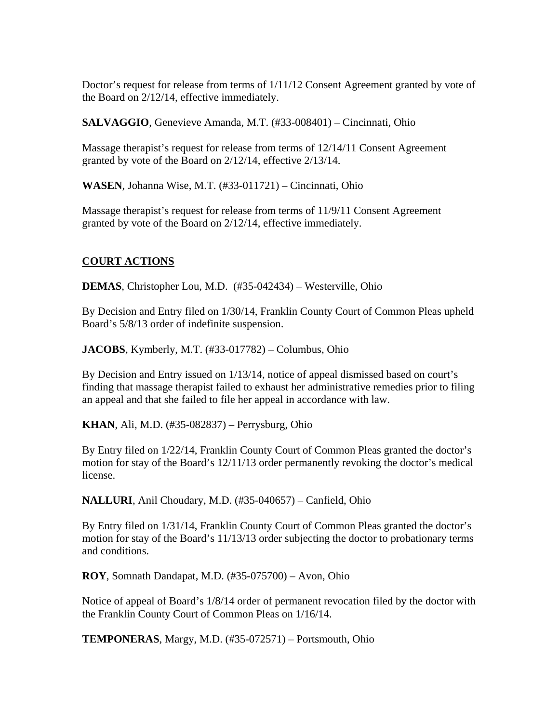Doctor's request for release from terms of 1/11/12 Consent Agreement granted by vote of the Board on 2/12/14, effective immediately.

**SALVAGGIO**, Genevieve Amanda, M.T. (#33-008401) – Cincinnati, Ohio

Massage therapist's request for release from terms of 12/14/11 Consent Agreement granted by vote of the Board on 2/12/14, effective 2/13/14.

**WASEN**, Johanna Wise, M.T. (#33-011721) – Cincinnati, Ohio

Massage therapist's request for release from terms of 11/9/11 Consent Agreement granted by vote of the Board on 2/12/14, effective immediately.

#### **COURT ACTIONS**

**DEMAS**, Christopher Lou, M.D. (#35-042434) – Westerville, Ohio

By Decision and Entry filed on 1/30/14, Franklin County Court of Common Pleas upheld Board's 5/8/13 order of indefinite suspension.

**JACOBS**, Kymberly, M.T. (#33-017782) – Columbus, Ohio

By Decision and Entry issued on 1/13/14, notice of appeal dismissed based on court's finding that massage therapist failed to exhaust her administrative remedies prior to filing an appeal and that she failed to file her appeal in accordance with law.

**KHAN**, Ali, M.D. (#35-082837) – Perrysburg, Ohio

By Entry filed on 1/22/14, Franklin County Court of Common Pleas granted the doctor's motion for stay of the Board's 12/11/13 order permanently revoking the doctor's medical license.

**NALLURI**, Anil Choudary, M.D. (#35-040657) – Canfield, Ohio

By Entry filed on 1/31/14, Franklin County Court of Common Pleas granted the doctor's motion for stay of the Board's 11/13/13 order subjecting the doctor to probationary terms and conditions.

**ROY**, Somnath Dandapat, M.D. (#35-075700) – Avon, Ohio

Notice of appeal of Board's 1/8/14 order of permanent revocation filed by the doctor with the Franklin County Court of Common Pleas on 1/16/14.

**TEMPONERAS**, Margy, M.D. (#35-072571) – Portsmouth, Ohio